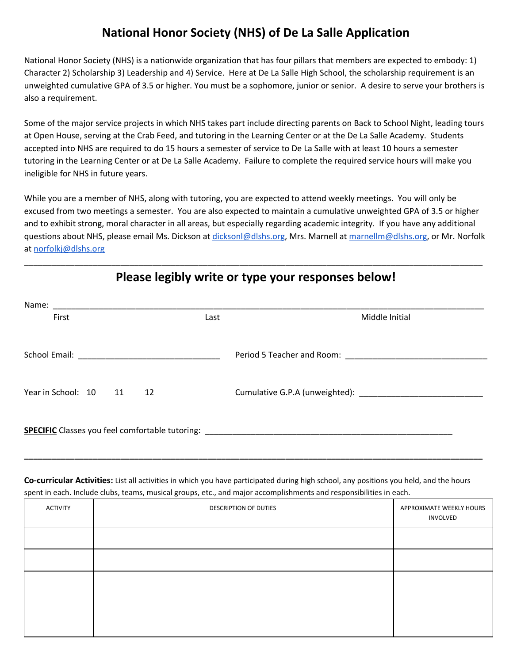## **National Honor Society (NHS) of De La Salle Application**

National Honor Society (NHS) is a nationwide organization that has four pillars that members are expected to embody: 1) Character 2) Scholarship 3) Leadership and 4) Service. Here at De La Salle High School, the scholarship requirement is an unweighted cumulative GPA of 3.5 or higher. You must be a sophomore, junior or senior. A desire to serve your brothers is also a requirement.

Some of the major service projects in which NHS takes part include directing parents on Back to School Night, leading tours at Open House, serving at the Crab Feed, and tutoring in the Learning Center or at the De La Salle Academy. Students accepted into NHS are required to do 15 hours a semester of service to De La Salle with at least 10 hours a semester tutoring in the Learning Center or at De La Salle Academy. Failure to complete the required service hours will make you ineligible for NHS in future years.

While you are a member of NHS, along with tutoring, you are expected to attend weekly meetings. You will only be excused from two meetings a semester. You are also expected to maintain a cumulative unweighted GPA of 3.5 or higher and to exhibit strong, moral character in all areas, but especially regarding academic integrity. If you have any additional questions about NHS, please email Ms. Dickson at [dicksonl@dlshs.org](mailto:dicksonl@dlshs.org), Mrs. Marnell at [marnellm@dlshs.org,](mailto:marnellm@dlshs.org) or Mr. Norfolk at [norfolkj@dlshs.org](mailto:norfolkj@dlshs.org)

| Name:<br><u> 1980 - Jan James Santan, masjid a shekara ta 1980 - An tsara ta 1980 - An tsara ta 1980 - An tsara ta 1980 -</u> |      |                |  |  |  |
|-------------------------------------------------------------------------------------------------------------------------------|------|----------------|--|--|--|
| First                                                                                                                         | Last | Middle Initial |  |  |  |
|                                                                                                                               |      |                |  |  |  |
|                                                                                                                               |      |                |  |  |  |
|                                                                                                                               |      |                |  |  |  |
| Year in School: 10 11<br>12                                                                                                   |      |                |  |  |  |
|                                                                                                                               |      |                |  |  |  |
|                                                                                                                               |      |                |  |  |  |
|                                                                                                                               |      |                |  |  |  |

## **Please legibly write or type your responses below!**

\_\_\_\_\_\_\_\_\_\_\_\_\_\_\_\_\_\_\_\_\_\_\_\_\_\_\_\_\_\_\_\_\_\_\_\_\_\_\_\_\_\_\_\_\_\_\_\_\_\_\_\_\_\_\_\_\_\_\_\_\_\_\_\_\_\_\_\_\_\_\_\_\_\_\_\_\_\_\_\_\_\_\_\_\_\_\_\_\_\_\_\_\_\_\_\_\_\_\_\_

**Co-curricular Activities:** List all activities in which you have participated during high school, any positions you held, and the hours spent in each. Include clubs, teams, musical groups, etc., and major accomplishments and responsibilities in each.

**\_\_\_\_\_\_\_\_\_\_\_\_\_\_\_\_\_\_\_\_\_\_\_\_\_\_\_\_\_\_\_\_\_\_\_\_\_\_\_\_\_\_\_\_\_\_\_\_\_\_\_\_\_\_\_\_\_\_\_\_\_\_\_\_\_\_\_\_\_\_\_\_\_\_\_\_\_\_\_\_\_\_\_\_\_\_\_\_\_\_\_\_\_\_\_\_\_\_\_\_**

| ACTIVITY | DESCRIPTION OF DUTIES | APPROXIMATE WEEKLY HOURS<br>INVOLVED |
|----------|-----------------------|--------------------------------------|
|          |                       |                                      |
|          |                       |                                      |
|          |                       |                                      |
|          |                       |                                      |
|          |                       |                                      |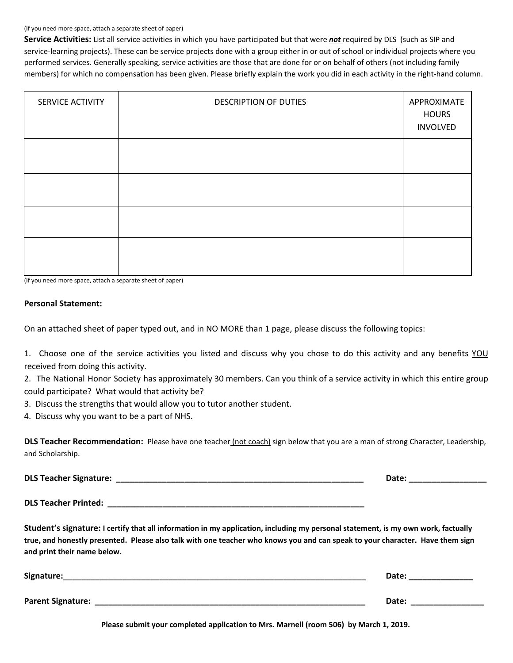## (If you need more space, attach a separate sheet of paper)

**Service Activities:** List all service activities in which you have participated but that were *not* required by DLS (such as SIP and service-learning projects). These can be service projects done with a group either in or out of school or individual projects where you performed services. Generally speaking, service activities are those that are done for or on behalf of others (not including family members) for which no compensation has been given. Please briefly explain the work you did in each activity in the right-hand column.

| SERVICE ACTIVITY | <b>DESCRIPTION OF DUTIES</b> | APPROXIMATE<br><b>HOURS</b><br><b>INVOLVED</b> |
|------------------|------------------------------|------------------------------------------------|
|                  |                              |                                                |
|                  |                              |                                                |
|                  |                              |                                                |
|                  |                              |                                                |

(If you need more space, attach a separate sheet of paper)

## **Personal Statement:**

On an attached sheet of paper typed out, and in NO MORE than 1 page, please discuss the following topics:

1. Choose one of the service activities you listed and discuss why you chose to do this activity and any benefits YOU received from doing this activity.

2. The National Honor Society has approximately 30 members. Can you think of a service activity in which this entire group could participate? What would that activity be?

3. Discuss the strengths that would allow you to tutor another student.

4. Discuss why you want to be a part of NHS.

**DLS Teacher Recommendation:** Please have one teacher (not coach) sign below that you are a man of strong Character, Leadership, and Scholarship.

| <b>DLS Teacher Signature:</b> |  |
|-------------------------------|--|
|                               |  |

**DLS Teacher Printed: \_\_\_\_\_\_\_\_\_\_\_\_\_\_\_\_\_\_\_\_\_\_\_\_\_\_\_\_\_\_\_\_\_\_\_\_\_\_\_\_\_\_\_\_\_\_\_\_\_\_\_\_\_\_\_\_**

Student's signature: I certify that all information in my application, including my personal statement, is my own work, factually true, and honestly presented. Please also talk with one teacher who knows you and can speak to your character. Have them sign **and print their name below.**

| Signature:        | Date: |
|-------------------|-------|
| Parent Signature: | Date: |

**Please submit your completed application to Mrs. Marnell (room 506) by March 1, 2019.**